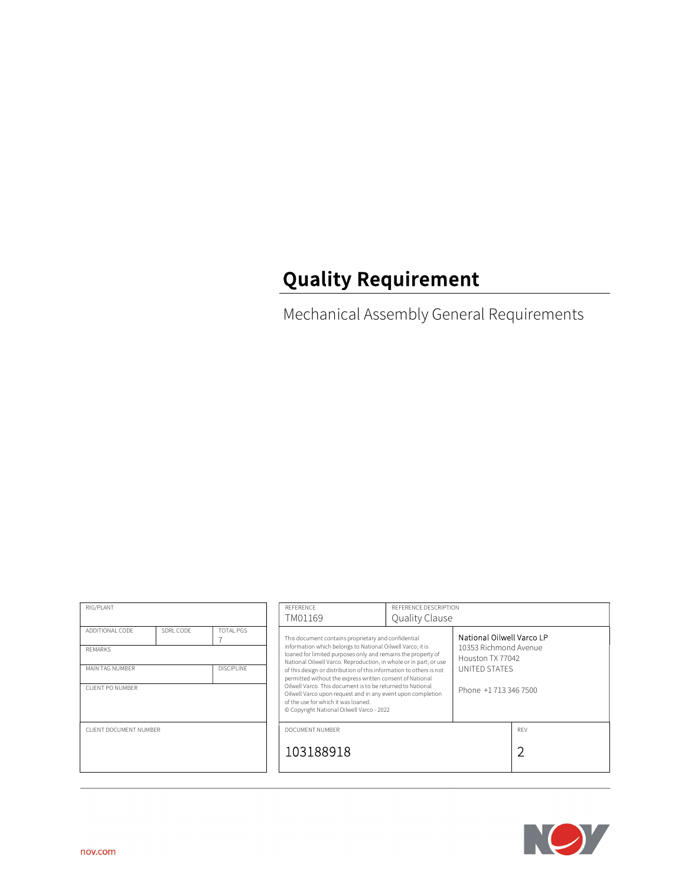# Quality Requirement

Mechanical Assembly General Requirements

| RIG/PLANT                            |           | <b>REFERENCE</b>                                                                                                                                                                                                                                                                                                                                                                                                                                                                                                                                     |                                                     | REFERENCE DESCRIPTION                                      |                           |  |
|--------------------------------------|-----------|------------------------------------------------------------------------------------------------------------------------------------------------------------------------------------------------------------------------------------------------------------------------------------------------------------------------------------------------------------------------------------------------------------------------------------------------------------------------------------------------------------------------------------------------------|-----------------------------------------------------|------------------------------------------------------------|---------------------------|--|
|                                      |           |                                                                                                                                                                                                                                                                                                                                                                                                                                                                                                                                                      |                                                     | Quality Clause<br>TM01169                                  |                           |  |
| ADDITIONAL CODE                      | SDRL CODE | <b>TOTAL PGS</b>                                                                                                                                                                                                                                                                                                                                                                                                                                                                                                                                     | This document contains proprietary and confidential |                                                            | National Oilwell Varco LP |  |
| <b>REMARKS</b>                       |           | information which belongs to National Oilwell Varco; it is<br>loaned for limited purposes only and remains the property of<br>National Oilwell Varco. Reproduction, in whole or in part; or use<br>of this design or distribution of this information to others is not<br>permitted without the express written consent of National<br>Oilwell Varco. This document is to be returned to National<br>Oilwell Varco upon request and in any event upon completion<br>of the use for which it was loaned.<br>© Copyright National Oilwell Varco - 2022 |                                                     | 10353 Richmond Avenue<br>Houston TX 77042<br>UNITED STATES |                           |  |
| <b>DISCIPLINE</b><br>MAIN TAG NUMBER |           |                                                                                                                                                                                                                                                                                                                                                                                                                                                                                                                                                      |                                                     |                                                            |                           |  |
| CLIENT PO NUMBER                     |           |                                                                                                                                                                                                                                                                                                                                                                                                                                                                                                                                                      |                                                     | Phone +1 713 346 7500                                      |                           |  |
| CLIENT DOCUMENT NUMBER               |           | DOCUMENT NUMBER                                                                                                                                                                                                                                                                                                                                                                                                                                                                                                                                      |                                                     |                                                            | REV                       |  |
|                                      |           | 103188918                                                                                                                                                                                                                                                                                                                                                                                                                                                                                                                                            |                                                     |                                                            |                           |  |
|                                      |           |                                                                                                                                                                                                                                                                                                                                                                                                                                                                                                                                                      |                                                     |                                                            |                           |  |

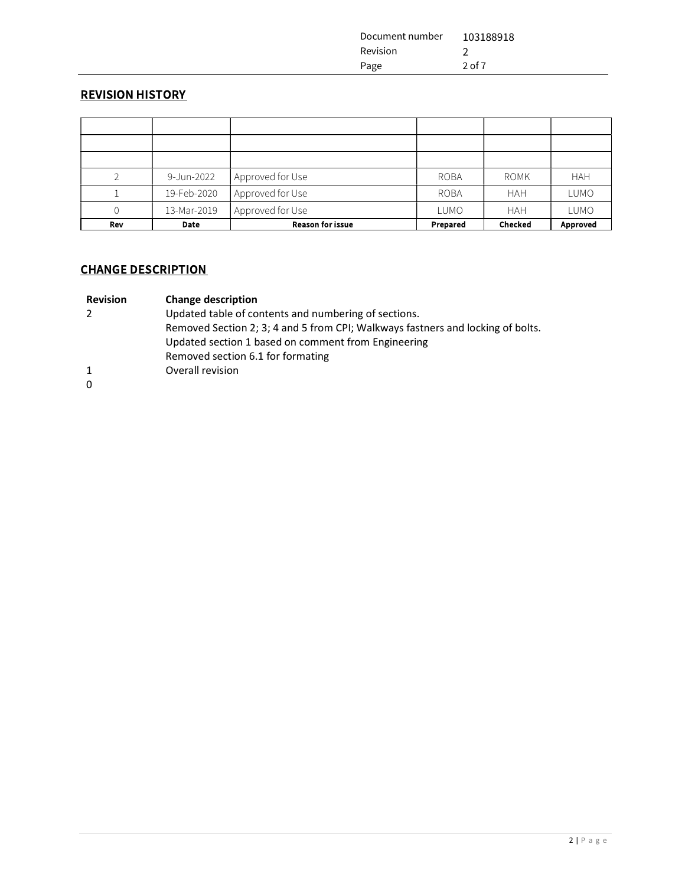| Document number | 103188918 |
|-----------------|-----------|
| Revision        | 2         |
| Page            | 2 of 7    |

## REVISION HISTORY

|          | 9-Jun-2022  | Approved for Use        | <b>ROBA</b> | <b>ROMK</b>    | <b>HAH</b>  |
|----------|-------------|-------------------------|-------------|----------------|-------------|
|          | 19-Feb-2020 | Approved for Use        | <b>ROBA</b> | <b>HAH</b>     | LUMO        |
| $\Omega$ | 13-Mar-2019 | Approved for Use        | LUMO        | <b>HAH</b>     | <b>LUMO</b> |
| Rev      | <b>Date</b> | <b>Reason for issue</b> | Prepared    | <b>Checked</b> | Approved    |

## CHANGE DESCRIPTION

| <b>Revision</b> | <b>Change description</b>                                                       |
|-----------------|---------------------------------------------------------------------------------|
|                 | Updated table of contents and numbering of sections.                            |
|                 | Removed Section 2; 3; 4 and 5 from CPI; Walkways fastners and locking of bolts. |
|                 | Updated section 1 based on comment from Engineering                             |
|                 | Removed section 6.1 for formating                                               |
| $\mathbf{1}$    | Overall revision                                                                |
|                 |                                                                                 |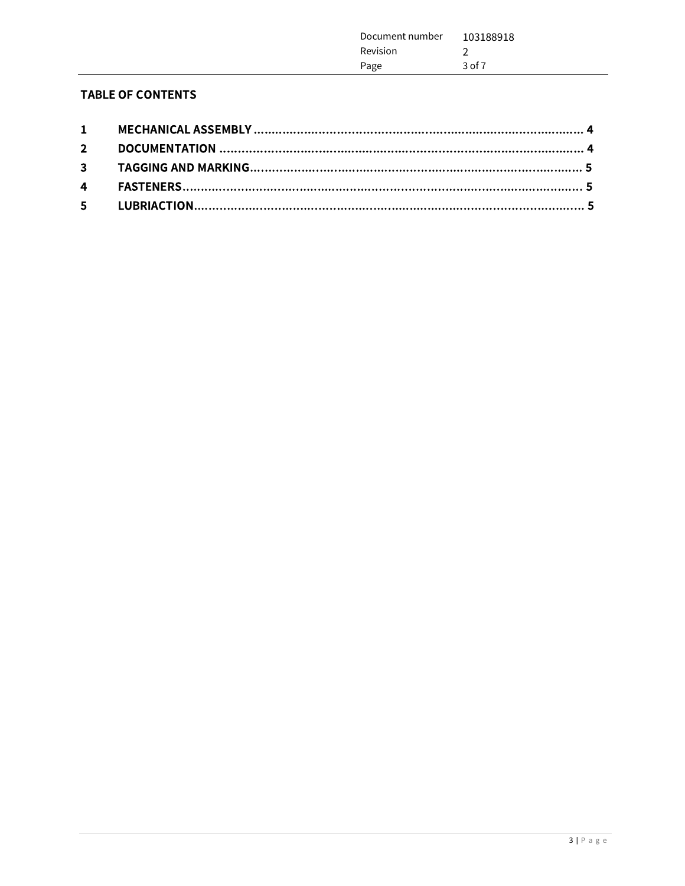| 3 of 7<br>Page | Document number<br>Revision | 103188918 |
|----------------|-----------------------------|-----------|
|                |                             |           |

# **TABLE OF CONTENTS**

| 2 <sup>7</sup> |  |
|----------------|--|
|                |  |
|                |  |
|                |  |

L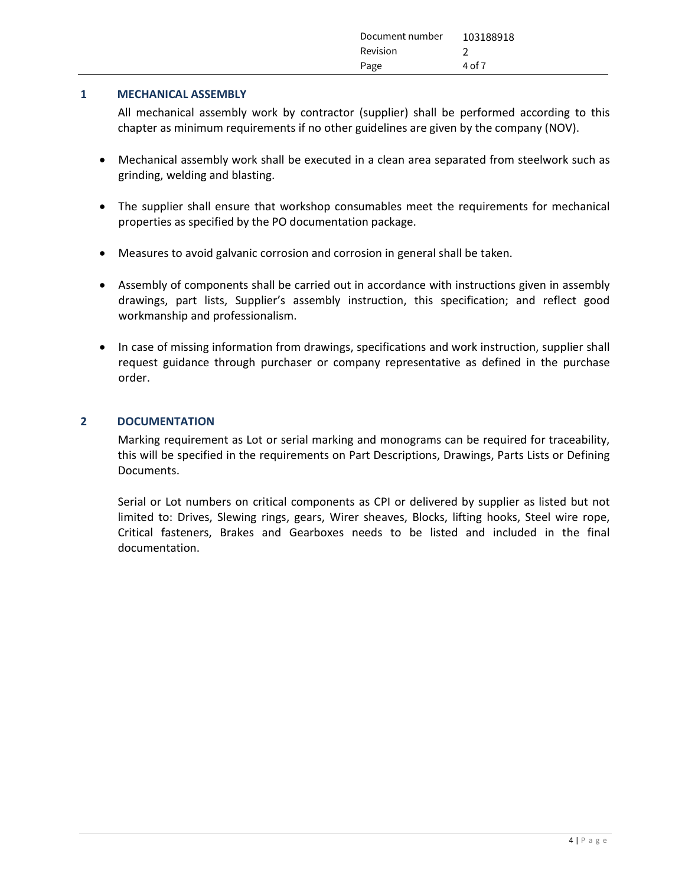| Document number | 103188918 |
|-----------------|-----------|
| Revision        | -         |
| Page            | 4 of 7    |

#### 1 MECHANICAL ASSEMBLY

All mechanical assembly work by contractor (supplier) shall be performed according to this chapter as minimum requirements if no other guidelines are given by the company (NOV).

- Mechanical assembly work shall be executed in a clean area separated from steelwork such as grinding, welding and blasting.
- The supplier shall ensure that workshop consumables meet the requirements for mechanical properties as specified by the PO documentation package.
- Measures to avoid galvanic corrosion and corrosion in general shall be taken.
- Assembly of components shall be carried out in accordance with instructions given in assembly drawings, part lists, Supplier's assembly instruction, this specification; and reflect good workmanship and professionalism.
- In case of missing information from drawings, specifications and work instruction, supplier shall request guidance through purchaser or company representative as defined in the purchase order.

## 2 DOCUMENTATION

Marking requirement as Lot or serial marking and monograms can be required for traceability, this will be specified in the requirements on Part Descriptions, Drawings, Parts Lists or Defining Documents.

Serial or Lot numbers on critical components as CPI or delivered by supplier as listed but not limited to: Drives, Slewing rings, gears, Wirer sheaves, Blocks, lifting hooks, Steel wire rope, Critical fasteners, Brakes and Gearboxes needs to be listed and included in the final documentation.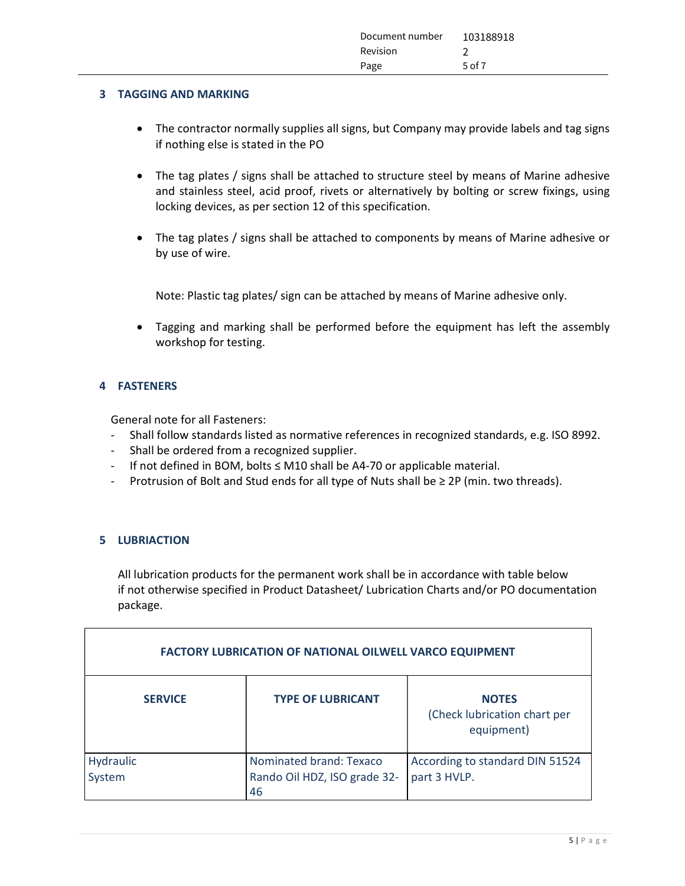| Document number 103188918 |        |
|---------------------------|--------|
| Revision                  |        |
| Page                      | 5 of 7 |

#### 3 TAGGING AND MARKING

- The contractor normally supplies all signs, but Company may provide labels and tag signs if nothing else is stated in the PO
- The tag plates / signs shall be attached to structure steel by means of Marine adhesive and stainless steel, acid proof, rivets or alternatively by bolting or screw fixings, using locking devices, as per section 12 of this specification.
- The tag plates / signs shall be attached to components by means of Marine adhesive or by use of wire.

Note: Plastic tag plates/ sign can be attached by means of Marine adhesive only.

 Tagging and marking shall be performed before the equipment has left the assembly workshop for testing.

## 4 FASTENERS

General note for all Fasteners:

- Shall follow standards listed as normative references in recognized standards, e.g. ISO 8992.
- Shall be ordered from a recognized supplier.
- If not defined in BOM, bolts ≤ M10 shall be A4-70 or applicable material.
- Protrusion of Bolt and Stud ends for all type of Nuts shall be  $\geq$  2P (min. two threads).

#### 5 LUBRIACTION

All lubrication products for the permanent work shall be in accordance with table below if not otherwise specified in Product Datasheet/ Lubrication Charts and/or PO documentation package.

| <b>FACTORY LUBRICATION OF NATIONAL OILWELL VARCO EQUIPMENT</b> |                                                               |                                                            |  |  |
|----------------------------------------------------------------|---------------------------------------------------------------|------------------------------------------------------------|--|--|
| <b>SERVICE</b>                                                 | <b>TYPE OF LUBRICANT</b>                                      | <b>NOTES</b><br>(Check lubrication chart per<br>equipment) |  |  |
| Hydraulic<br>System                                            | Nominated brand: Texaco<br>Rando Oil HDZ, ISO grade 32-<br>46 | According to standard DIN 51524<br>part 3 HVLP.            |  |  |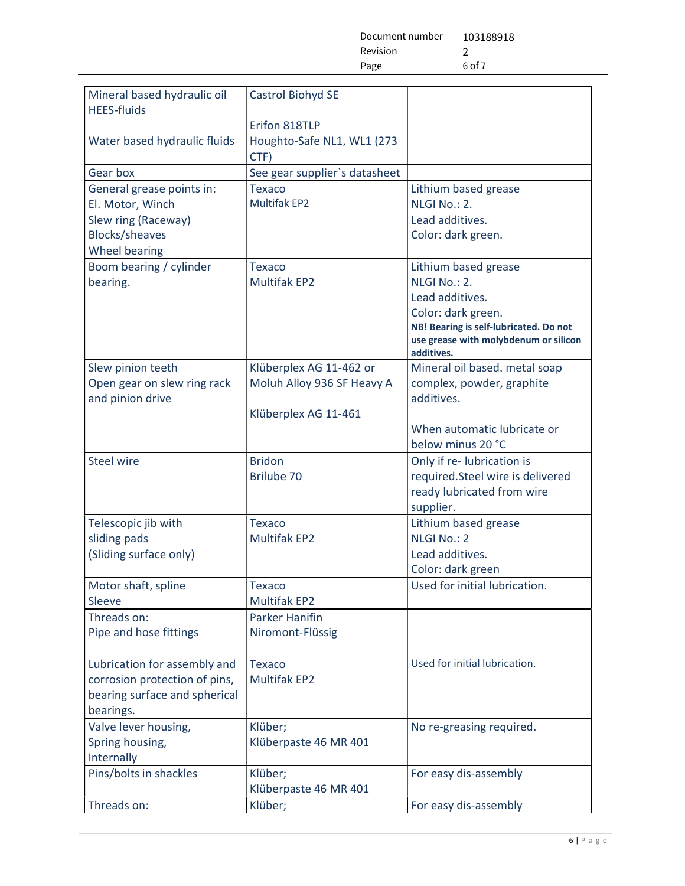Document number 103188918 Revision 2 Page 6 of 7

| Mineral based hydraulic oil<br><b>HEES-fluids</b>                                                                     | Castrol Biohyd SE                                                             |                                                                                                                                                                                |
|-----------------------------------------------------------------------------------------------------------------------|-------------------------------------------------------------------------------|--------------------------------------------------------------------------------------------------------------------------------------------------------------------------------|
|                                                                                                                       | Erifon 818TLP                                                                 |                                                                                                                                                                                |
| Water based hydraulic fluids                                                                                          | Houghto-Safe NL1, WL1 (273<br>CTF)                                            |                                                                                                                                                                                |
| <b>Gear box</b>                                                                                                       | See gear supplier's datasheet                                                 |                                                                                                                                                                                |
| General grease points in:<br>El. Motor, Winch<br>Slew ring (Raceway)<br><b>Blocks/sheaves</b><br><b>Wheel bearing</b> | <b>Texaco</b><br>Multifak EP2                                                 | Lithium based grease<br>NLGI No.: 2.<br>Lead additives.<br>Color: dark green.                                                                                                  |
| Boom bearing / cylinder<br>bearing.                                                                                   | <b>Texaco</b><br><b>Multifak EP2</b>                                          | Lithium based grease<br>NLGI No.: 2.<br>Lead additives.<br>Color: dark green.<br>NB! Bearing is self-lubricated. Do not<br>use grease with molybdenum or silicon<br>additives. |
| Slew pinion teeth<br>Open gear on slew ring rack<br>and pinion drive                                                  | Klüberplex AG 11-462 or<br>Moluh Alloy 936 SF Heavy A<br>Klüberplex AG 11-461 | Mineral oil based. metal soap<br>complex, powder, graphite<br>additives.                                                                                                       |
|                                                                                                                       |                                                                               | When automatic lubricate or<br>below minus 20 °C                                                                                                                               |
| <b>Steel wire</b>                                                                                                     | <b>Bridon</b><br><b>Brilube 70</b>                                            | Only if re- lubrication is<br>required.Steel wire is delivered<br>ready lubricated from wire<br>supplier.                                                                      |
| Telescopic jib with<br>sliding pads<br>(Sliding surface only)                                                         | <b>Texaco</b><br><b>Multifak EP2</b>                                          | Lithium based grease<br><b>NLGI No.: 2</b><br>Lead additives.<br>Color: dark green                                                                                             |
| Motor shaft, spline<br><b>Sleeve</b>                                                                                  | Texaco<br><b>Multifak EP2</b>                                                 | Used for initial lubrication.                                                                                                                                                  |
| Threads on:<br>Pipe and hose fittings                                                                                 | <b>Parker Hanifin</b><br>Niromont-Flüssig                                     |                                                                                                                                                                                |
| Lubrication for assembly and<br>corrosion protection of pins,<br>bearing surface and spherical<br>bearings.           | <b>Texaco</b><br><b>Multifak EP2</b>                                          | Used for initial lubrication.                                                                                                                                                  |
| Valve lever housing,<br>Spring housing,<br>Internally                                                                 | Klüber;<br>Klüberpaste 46 MR 401                                              | No re-greasing required.                                                                                                                                                       |
| Pins/bolts in shackles                                                                                                | Klüber;<br>Klüberpaste 46 MR 401                                              | For easy dis-assembly                                                                                                                                                          |
| Threads on:                                                                                                           | Klüber;                                                                       | For easy dis-assembly                                                                                                                                                          |